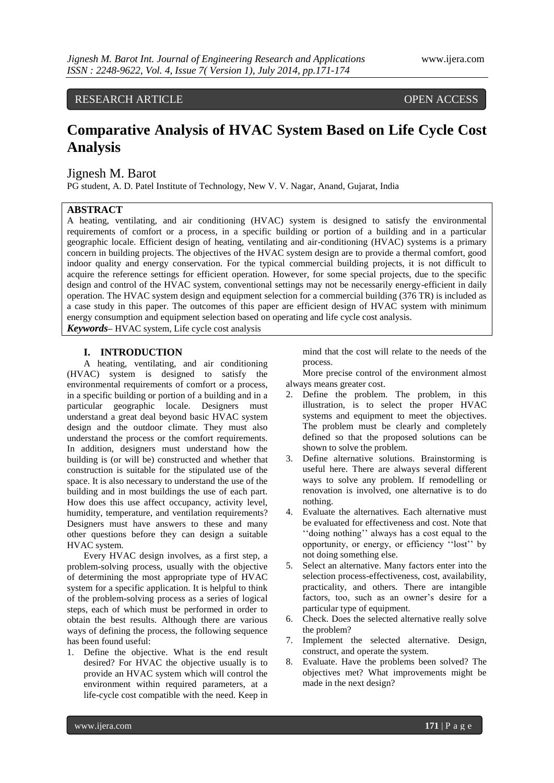RESEARCH ARTICLE OPEN ACCESS

# **Comparative Analysis of HVAC System Based on Life Cycle Cost Analysis**

Jignesh M. Barot

PG student, A. D. Patel Institute of Technology, New V. V. Nagar, Anand, Gujarat, India

# **ABSTRACT**

A heating, ventilating, and air conditioning (HVAC) system is designed to satisfy the environmental requirements of comfort or a process, in a specific building or portion of a building and in a particular geographic locale. Efficient design of heating, ventilating and air-conditioning (HVAC) systems is a primary concern in building projects. The objectives of the HVAC system design are to provide a thermal comfort, good indoor quality and energy conservation. For the typical commercial building projects, it is not difficult to acquire the reference settings for efficient operation. However, for some special projects, due to the specific design and control of the HVAC system, conventional settings may not be necessarily energy-efficient in daily operation. The HVAC system design and equipment selection for a commercial building (376 TR) is included as a case study in this paper. The outcomes of this paper are efficient design of HVAC system with minimum energy consumption and equipment selection based on operating and life cycle cost analysis.

*Keywords***–** HVAC system, Life cycle cost analysis

# **I. INTRODUCTION**

A heating, ventilating, and air conditioning (HVAC) system is designed to satisfy the environmental requirements of comfort or a process, in a specific building or portion of a building and in a particular geographic locale. Designers must understand a great deal beyond basic HVAC system design and the outdoor climate. They must also understand the process or the comfort requirements. In addition, designers must understand how the building is (or will be) constructed and whether that construction is suitable for the stipulated use of the space. It is also necessary to understand the use of the building and in most buildings the use of each part. How does this use affect occupancy, activity level, humidity, temperature, and ventilation requirements? Designers must have answers to these and many other questions before they can design a suitable HVAC system.

Every HVAC design involves, as a first step, a problem-solving process, usually with the objective of determining the most appropriate type of HVAC system for a specific application. It is helpful to think of the problem-solving process as a series of logical steps, each of which must be performed in order to obtain the best results. Although there are various ways of defining the process, the following sequence has been found useful:

1. Define the objective. What is the end result desired? For HVAC the objective usually is to provide an HVAC system which will control the environment within required parameters, at a life-cycle cost compatible with the need. Keep in mind that the cost will relate to the needs of the process.

More precise control of the environment almost always means greater cost.

- 2. Define the problem. The problem, in this illustration, is to select the proper HVAC systems and equipment to meet the objectives. The problem must be clearly and completely defined so that the proposed solutions can be shown to solve the problem.
- 3. Define alternative solutions. Brainstorming is useful here. There are always several different ways to solve any problem. If remodelling or renovation is involved, one alternative is to do nothing.
- 4. Evaluate the alternatives. Each alternative must be evaluated for effectiveness and cost. Note that ''doing nothing'' always has a cost equal to the opportunity, or energy, or efficiency ''lost'' by not doing something else.
- 5. Select an alternative. Many factors enter into the selection process-effectiveness, cost, availability, practicality, and others. There are intangible factors, too, such as an owner's desire for a particular type of equipment.
- 6. Check. Does the selected alternative really solve the problem?
- 7. Implement the selected alternative. Design, construct, and operate the system.
- 8. Evaluate. Have the problems been solved? The objectives met? What improvements might be made in the next design?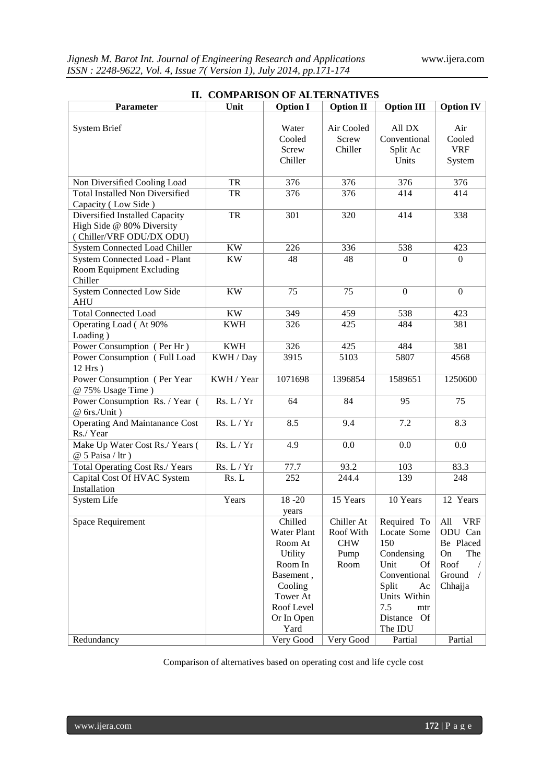| <b>II. COMPARISON OF ALTERNATIVES</b>                                |                        |                                                                                                                                        |                                                       |                                                                                                                                                                       |                                                                                     |  |  |  |  |  |
|----------------------------------------------------------------------|------------------------|----------------------------------------------------------------------------------------------------------------------------------------|-------------------------------------------------------|-----------------------------------------------------------------------------------------------------------------------------------------------------------------------|-------------------------------------------------------------------------------------|--|--|--|--|--|
| <b>Parameter</b>                                                     | Unit                   | <b>Option I</b>                                                                                                                        | <b>Option II</b>                                      | <b>Option III</b>                                                                                                                                                     | <b>Option IV</b>                                                                    |  |  |  |  |  |
| <b>System Brief</b>                                                  |                        | Water<br>Cooled<br>Screw<br>Chiller                                                                                                    | Air Cooled<br>Screw<br>Chiller                        | All DX<br>Conventional<br>Split Ac<br>Units                                                                                                                           | Air<br>Cooled<br><b>VRF</b><br>System                                               |  |  |  |  |  |
| Non Diversified Cooling Load                                         | TR                     | 376                                                                                                                                    | 376                                                   | 376                                                                                                                                                                   | 376                                                                                 |  |  |  |  |  |
| <b>Total Installed Non Diversified</b>                               | TR                     | 376                                                                                                                                    | 376                                                   | 414                                                                                                                                                                   | 414                                                                                 |  |  |  |  |  |
| Capacity (Low Side)                                                  |                        |                                                                                                                                        |                                                       |                                                                                                                                                                       |                                                                                     |  |  |  |  |  |
| Diversified Installed Capacity                                       | TR                     | 301                                                                                                                                    | 320                                                   | 414                                                                                                                                                                   | 338                                                                                 |  |  |  |  |  |
| High Side @ 80% Diversity<br>(Chiller/VRF ODU/DX ODU)                |                        |                                                                                                                                        |                                                       |                                                                                                                                                                       |                                                                                     |  |  |  |  |  |
| System Connected Load Chiller                                        | $\mathbf{K}\mathbf{W}$ | 226                                                                                                                                    | 336                                                   | 538                                                                                                                                                                   | 423                                                                                 |  |  |  |  |  |
| System Connected Load - Plant<br>Room Equipment Excluding<br>Chiller | <b>KW</b>              | 48                                                                                                                                     | 48                                                    | $\mathbf{0}$                                                                                                                                                          | $\overline{0}$                                                                      |  |  |  |  |  |
| <b>System Connected Low Side</b><br><b>AHU</b>                       | <b>KW</b>              | 75                                                                                                                                     | 75                                                    | $\boldsymbol{0}$                                                                                                                                                      | $\boldsymbol{0}$                                                                    |  |  |  |  |  |
| <b>Total Connected Load</b>                                          | $\mathbf{K}\mathbf{W}$ | 349                                                                                                                                    | 459                                                   | 538                                                                                                                                                                   | 423                                                                                 |  |  |  |  |  |
| Operating Load (At 90%<br>Loading)                                   | <b>KWH</b>             | 326                                                                                                                                    | 425                                                   | 484                                                                                                                                                                   | 381                                                                                 |  |  |  |  |  |
| Power Consumption (Per Hr)                                           | <b>KWH</b>             | 326                                                                                                                                    | 425                                                   | 484                                                                                                                                                                   | 381                                                                                 |  |  |  |  |  |
| Power Consumption (Full Load<br>$12 Hrs$ )                           | KWH / Day              | 3915                                                                                                                                   | 5103                                                  | 5807                                                                                                                                                                  | 4568                                                                                |  |  |  |  |  |
| Power Consumption (Per Year<br>@ 75% Usage Time)                     | KWH / Year             | 1071698                                                                                                                                | 1396854                                               | 1589651                                                                                                                                                               | 1250600                                                                             |  |  |  |  |  |
| Power Consumption Rs. / Year (<br>$@$ 6rs./Unit)                     | Rs. L/Yr               | 64                                                                                                                                     | 84                                                    | 95                                                                                                                                                                    | 75                                                                                  |  |  |  |  |  |
| <b>Operating And Maintanance Cost</b><br>Rs./Year                    | Rs. L/Yr               | 8.5                                                                                                                                    | 9.4                                                   | 7.2                                                                                                                                                                   | 8.3                                                                                 |  |  |  |  |  |
| Make Up Water Cost Rs./ Years (<br>$@ 5$ Paisa / ltr)                | Rs. L/Yr               | 4.9                                                                                                                                    | 0.0                                                   | $\overline{0.0}$                                                                                                                                                      | 0.0                                                                                 |  |  |  |  |  |
| Total Operating Cost Rs./ Years                                      | Rs. L / Yr             | 77.7                                                                                                                                   | 93.2                                                  | 103                                                                                                                                                                   | 83.3                                                                                |  |  |  |  |  |
| Capital Cost Of HVAC System<br>Installation                          | Rs. L                  | 252                                                                                                                                    | 244.4                                                 | 139                                                                                                                                                                   | 248                                                                                 |  |  |  |  |  |
| System Life                                                          | Years                  | $18 - 20$<br>years                                                                                                                     | 15 Years                                              | 10 Years                                                                                                                                                              | 12 Years                                                                            |  |  |  |  |  |
| Space Requirement                                                    |                        | Chilled<br>Water Plant<br>Room At<br><b>Utility</b><br>Room In<br>Basement,<br>Cooling<br>Tower At<br>Roof Level<br>Or In Open<br>Yard | Chiller At<br>Roof With<br><b>CHW</b><br>Pump<br>Room | Required To<br>Locate Some<br>150<br>Condensing<br>Unit<br><b>Of</b><br>Conventional<br>Split<br>Ac<br>Units Within<br>7.5<br>mtr<br>Distance<br><b>Of</b><br>The IDU | <b>VRF</b><br>All<br>ODU Can<br>Be Placed<br>On<br>The<br>Roof<br>Ground<br>Chhajja |  |  |  |  |  |
| Redundancy                                                           |                        | Very Good                                                                                                                              | Very Good                                             | Partial                                                                                                                                                               | Partial                                                                             |  |  |  |  |  |

Comparison of alternatives based on operating cost and life cycle cost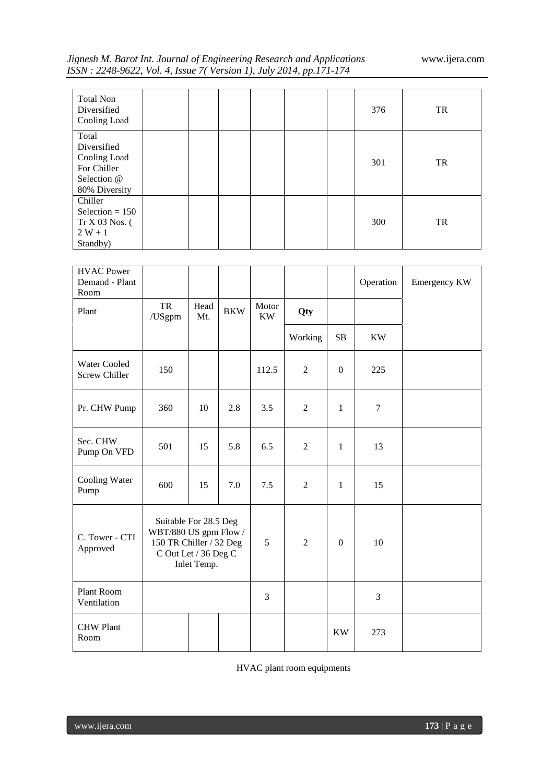| <b>Total Non</b><br>Diversified<br>Cooling Load                                     |  |  |  | 376 | TR        |
|-------------------------------------------------------------------------------------|--|--|--|-----|-----------|
| Total<br>Diversified<br>Cooling Load<br>For Chiller<br>Selection @<br>80% Diversity |  |  |  | 301 | <b>TR</b> |
| Chiller<br>Selection = $150$<br>$Tr X$ 03 Nos. (<br>$2 W + 1$<br>Standby)           |  |  |  | 300 | TR        |

| <b>HVAC Power</b><br>Demand - Plant<br>Room |                                                                                                                  |             |            |                    |                |                  | Operation              | Emergency KW |
|---------------------------------------------|------------------------------------------------------------------------------------------------------------------|-------------|------------|--------------------|----------------|------------------|------------------------|--------------|
| Plant                                       | TR<br>/USgpm                                                                                                     | Head<br>Mt. | <b>BKW</b> | Motor<br><b>KW</b> | Qty            |                  |                        |              |
|                                             |                                                                                                                  |             |            |                    | Working        | SB               | $\mathbf{K}\mathbf{W}$ |              |
| Water Cooled<br><b>Screw Chiller</b>        | 150                                                                                                              |             |            | 112.5              | $\overline{2}$ | $\boldsymbol{0}$ | 225                    |              |
| Pr. CHW Pump                                | 360                                                                                                              | 10          | 2.8        | 3.5                | $\overline{2}$ | $\mathbf{1}$     | $\tau$                 |              |
| Sec. CHW<br>Pump On VFD                     | 501                                                                                                              | 15          | 5.8        | 6.5                | 2              | $\mathbf{1}$     | 13                     |              |
| Cooling Water<br>Pump                       | 600                                                                                                              | 15          | 7.0        | 7.5                | 2              | $\mathbf{1}$     | 15                     |              |
| C. Tower - CTI<br>Approved                  | Suitable For 28.5 Deg<br>WBT/880 US gpm Flow /<br>150 TR Chiller / 32 Deg<br>C Out Let / 36 Deg C<br>Inlet Temp. |             |            | 5                  | $\overline{2}$ | $\mathbf{0}$     | 10                     |              |
| Plant Room<br>Ventilation                   |                                                                                                                  |             |            | 3                  |                |                  | 3                      |              |
| <b>CHW Plant</b><br>Room                    |                                                                                                                  |             |            |                    |                | <b>KW</b>        | 273                    |              |

HVAC plant room equipments